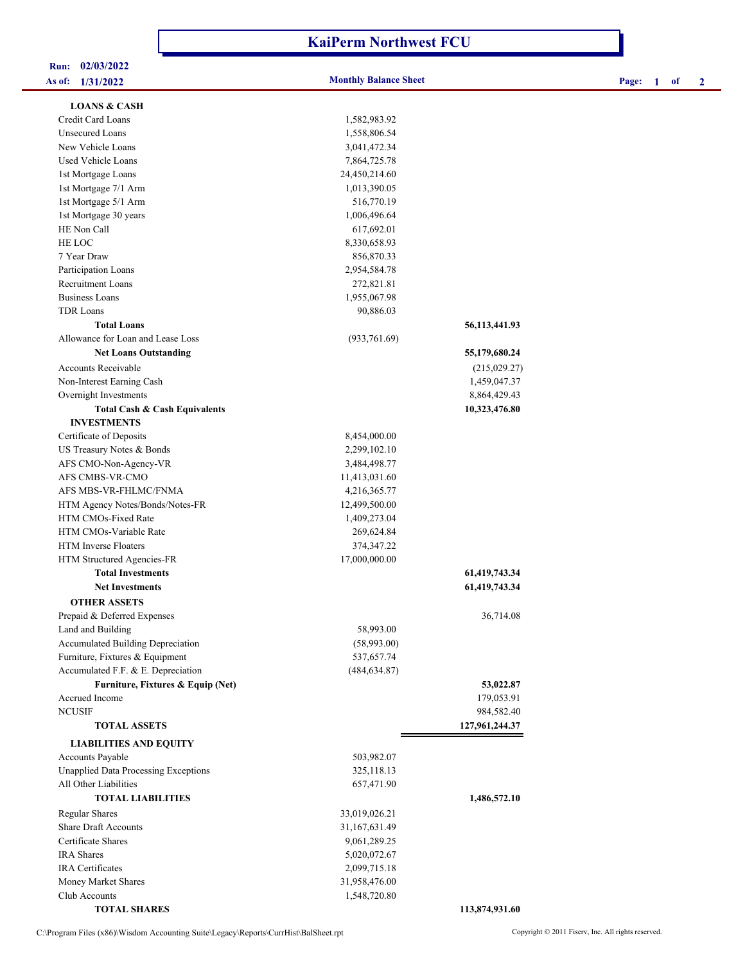| As of: 1/31/2022                            | <b>Monthly Balance Sheet</b> |                | Page:<br>$\overline{2}$<br>1<br>of |
|---------------------------------------------|------------------------------|----------------|------------------------------------|
| <b>LOANS &amp; CASH</b>                     |                              |                |                                    |
| Credit Card Loans                           | 1,582,983.92                 |                |                                    |
| <b>Unsecured Loans</b>                      | 1,558,806.54                 |                |                                    |
| New Vehicle Loans                           | 3,041,472.34                 |                |                                    |
| Used Vehicle Loans                          | 7,864,725.78                 |                |                                    |
| 1st Mortgage Loans                          | 24,450,214.60                |                |                                    |
| 1st Mortgage 7/1 Arm                        | 1,013,390.05                 |                |                                    |
| 1st Mortgage 5/1 Arm                        | 516,770.19                   |                |                                    |
| 1st Mortgage 30 years                       | 1,006,496.64                 |                |                                    |
| HE Non Call                                 | 617,692.01                   |                |                                    |
| HE LOC                                      | 8,330,658.93                 |                |                                    |
| 7 Year Draw                                 | 856,870.33                   |                |                                    |
| Participation Loans                         | 2,954,584.78                 |                |                                    |
| Recruitment Loans                           | 272,821.81                   |                |                                    |
| <b>Business Loans</b>                       | 1,955,067.98                 |                |                                    |
| <b>TDR</b> Loans                            | 90,886.03                    |                |                                    |
| <b>Total Loans</b>                          |                              | 56,113,441.93  |                                    |
| Allowance for Loan and Lease Loss           | (933, 761.69)                |                |                                    |
| <b>Net Loans Outstanding</b>                |                              | 55,179,680.24  |                                    |
| <b>Accounts Receivable</b>                  |                              | (215,029.27)   |                                    |
| Non-Interest Earning Cash                   |                              | 1,459,047.37   |                                    |
| Overnight Investments                       |                              | 8,864,429.43   |                                    |
| Total Cash & Cash Equivalents               |                              | 10,323,476.80  |                                    |
| <b>INVESTMENTS</b>                          |                              |                |                                    |
| Certificate of Deposits                     | 8,454,000.00                 |                |                                    |
| US Treasury Notes & Bonds                   | 2,299,102.10                 |                |                                    |
| AFS CMO-Non-Agency-VR                       | 3,484,498.77                 |                |                                    |
| AFS CMBS-VR-CMO                             | 11,413,031.60                |                |                                    |
| AFS MBS-VR-FHLMC/FNMA                       | 4,216,365.77                 |                |                                    |
| HTM Agency Notes/Bonds/Notes-FR             | 12,499,500.00                |                |                                    |
| HTM CMOs-Fixed Rate                         | 1,409,273.04                 |                |                                    |
| HTM CMOs-Variable Rate                      | 269,624.84                   |                |                                    |
| HTM Inverse Floaters                        | 374,347.22                   |                |                                    |
| HTM Structured Agencies-FR                  | 17,000,000.00                |                |                                    |
| <b>Total Investments</b>                    |                              | 61,419,743.34  |                                    |
| <b>Net Investments</b>                      |                              | 61,419,743.34  |                                    |
| <b>OTHER ASSETS</b>                         |                              |                |                                    |
| Prepaid & Deferred Expenses                 |                              | 36,714.08      |                                    |
| Land and Building                           | 58,993.00                    |                |                                    |
| Accumulated Building Depreciation           | (58,993.00)                  |                |                                    |
| Furniture, Fixtures & Equipment             | 537,657.74                   |                |                                    |
| Accumulated F.F. & E. Depreciation          | (484, 634.87)                |                |                                    |
| Furniture, Fixtures & Equip (Net)           |                              | 53,022.87      |                                    |
| Accrued Income                              |                              | 179,053.91     |                                    |
| <b>NCUSIF</b>                               |                              | 984,582.40     |                                    |
| <b>TOTAL ASSETS</b>                         |                              | 127,961,244.37 |                                    |
| <b>LIABILITIES AND EQUITY</b>               |                              |                |                                    |
| Accounts Payable                            | 503,982.07                   |                |                                    |
| <b>Unapplied Data Processing Exceptions</b> | 325,118.13                   |                |                                    |
| All Other Liabilities                       | 657,471.90                   |                |                                    |
| <b>TOTAL LIABILITIES</b>                    |                              | 1,486,572.10   |                                    |
| <b>Regular Shares</b>                       | 33,019,026.21                |                |                                    |
| <b>Share Draft Accounts</b>                 | 31,167,631.49                |                |                                    |
| Certificate Shares                          | 9,061,289.25                 |                |                                    |
| IRA Shares                                  | 5,020,072.67                 |                |                                    |
| <b>IRA</b> Certificates                     | 2,099,715.18                 |                |                                    |
| Money Market Shares                         | 31,958,476.00                |                |                                    |
| Club Accounts                               | 1,548,720.80                 |                |                                    |

**KaiPerm Northwest FCU**

**Run: 02/03/2022**

 **TOTAL SHARES 113,874,931.60**